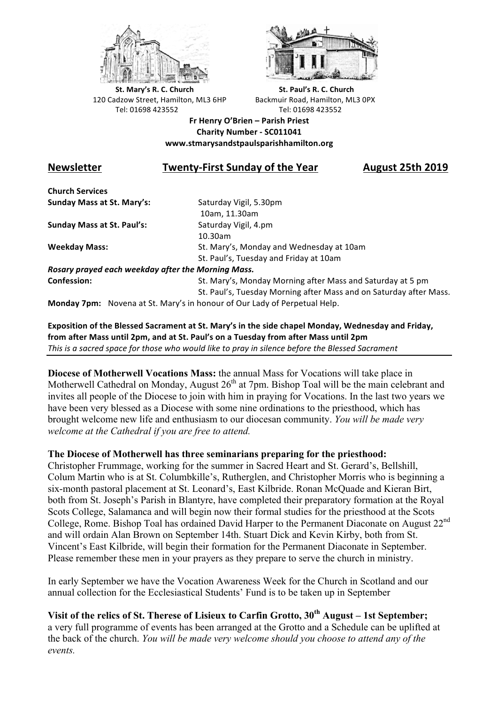



**St.** Mary's R. C. Church St. Paul's R. C. Church 120 Cadzow Street, Hamilton, ML3 6HP Backmuir Road, Hamilton, ML3 0PX Tel: 01698 423552 Tel: 01698 423552

**Fr Henry O'Brien – Parish Priest Charity Number - SC011041 www.stmarysandstpaulsparishhamilton.org**

## **Newsletter Twenty-First Sunday of the Year August 25th 2019**

**Church Services Sunday Mass at St. Mary's:** Saturday Vigil, 5.30pm

**Sunday Mass at St. Paul's:** Saturday Vigil, 4.pm

 10am, 11.30am 10.30am **Weekday Mass:** St. Mary's, Monday and Wednesday at 10am St. Paul's, Tuesday and Friday at 10am

*Rosary prayed each weekday after the Morning Mass.* **Confession:** St. Mary's, Monday Morning after Mass and Saturday at 5 pm

St. Paul's, Tuesday Morning after Mass and on Saturday after Mass.

**Monday 7pm:** Novena at St. Mary's in honour of Our Lady of Perpetual Help.

Exposition of the Blessed Sacrament at St. Mary's in the side chapel Monday, Wednesday and Friday, from after Mass until 2pm, and at St. Paul's on a Tuesday from after Mass until 2pm This is a sacred space for those who would like to pray in silence before the Blessed Sacrament

**Diocese of Motherwell Vocations Mass:** the annual Mass for Vocations will take place in Motherwell Cathedral on Monday, August  $26<sup>th</sup>$  at 7pm. Bishop Toal will be the main celebrant and invites all people of the Diocese to join with him in praying for Vocations. In the last two years we have been very blessed as a Diocese with some nine ordinations to the priesthood, which has brought welcome new life and enthusiasm to our diocesan community. *You will be made very welcome at the Cathedral if you are free to attend.*

## **The Diocese of Motherwell has three seminarians preparing for the priesthood:**

Christopher Frummage, working for the summer in Sacred Heart and St. Gerard's, Bellshill, Colum Martin who is at St. Columbkille's, Rutherglen, and Christopher Morris who is beginning a six-month pastoral placement at St. Leonard's, East Kilbride. Ronan McQuade and Kieran Birt, both from St. Joseph's Parish in Blantyre, have completed their preparatory formation at the Royal Scots College, Salamanca and will begin now their formal studies for the priesthood at the Scots College, Rome. Bishop Toal has ordained David Harper to the Permanent Diaconate on August 22<sup>nd</sup> and will ordain Alan Brown on September 14th. Stuart Dick and Kevin Kirby, both from St. Vincent's East Kilbride, will begin their formation for the Permanent Diaconate in September. Please remember these men in your prayers as they prepare to serve the church in ministry.

In early September we have the Vocation Awareness Week for the Church in Scotland and our annual collection for the Ecclesiastical Students' Fund is to be taken up in September

**Visit of the relics of St. Therese of Lisieux to Carfin Grotto, 30th August – 1st September;**  a very full programme of events has been arranged at the Grotto and a Schedule can be uplifted at the back of the church. *You will be made very welcome should you choose to attend any of the events.*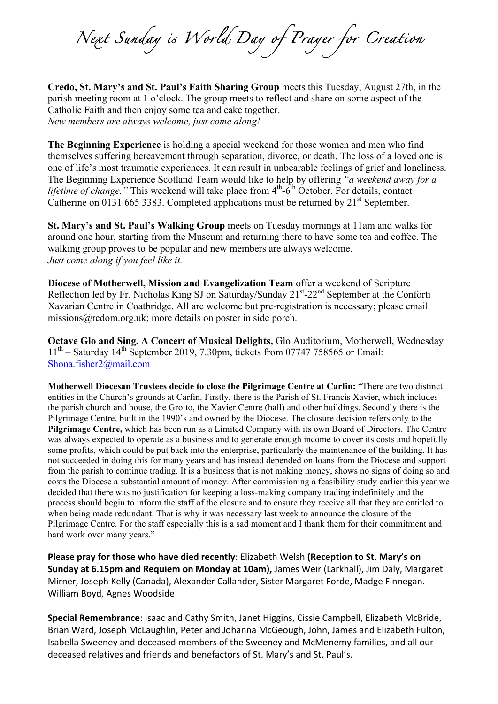*Next Sunday is World Day of Prayer for Creation* 

**Credo, St. Mary's and St. Paul's Faith Sharing Group** meets this Tuesday, August 27th, in the parish meeting room at 1 o'clock. The group meets to reflect and share on some aspect of the Catholic Faith and then enjoy some tea and cake together. *New members are always welcome, just come along!*

**The Beginning Experience** is holding a special weekend for those women and men who find themselves suffering bereavement through separation, divorce, or death. The loss of a loved one is one of life's most traumatic experiences. It can result in unbearable feelings of grief and loneliness. The Beginning Experience Scotland Team would like to help by offering *"a weekend away for a lifetime of change.*" This weekend will take place from  $4<sup>th</sup>$ -6<sup>th</sup> October. For details, contact Catherine on 0131 665 3383. Completed applications must be returned by  $21<sup>st</sup>$  September.

**St. Mary's and St. Paul's Walking Group** meets on Tuesday mornings at 11am and walks for around one hour, starting from the Museum and returning there to have some tea and coffee. The walking group proves to be popular and new members are always welcome. *Just come along if you feel like it.*

**Diocese of Motherwell, Mission and Evangelization Team** offer a weekend of Scripture Reflection led by Fr. Nicholas King SJ on Saturday/Sunday 21<sup>st</sup>-22<sup>nd</sup> September at the Conforti Xavarian Centre in Coatbridge. All are welcome but pre-registration is necessary; please email missions@rcdom.org.uk; more details on poster in side porch.

**Octave Glo and Sing, A Concert of Musical Delights,** Glo Auditorium, Motherwell, Wednesday  $11<sup>th</sup>$  – Saturday  $14<sup>th</sup>$  September 2019, 7.30pm, tickets from 07747 758565 or Email: Shona.fisher2@mail.com

**Motherwell Diocesan Trustees decide to close the Pilgrimage Centre at Carfin:** "There are two distinct entities in the Church's grounds at Carfin. Firstly, there is the Parish of St. Francis Xavier, which includes the parish church and house, the Grotto, the Xavier Centre (hall) and other buildings. Secondly there is the Pilgrimage Centre, built in the 1990's and owned by the Diocese. The closure decision refers only to the **Pilgrimage Centre,** which has been run as a Limited Company with its own Board of Directors. The Centre was always expected to operate as a business and to generate enough income to cover its costs and hopefully some profits, which could be put back into the enterprise, particularly the maintenance of the building. It has not succeeded in doing this for many years and has instead depended on loans from the Diocese and support from the parish to continue trading. It is a business that is not making money, shows no signs of doing so and costs the Diocese a substantial amount of money. After commissioning a feasibility study earlier this year we decided that there was no justification for keeping a loss-making company trading indefinitely and the process should begin to inform the staff of the closure and to ensure they receive all that they are entitled to when being made redundant. That is why it was necessary last week to announce the closure of the Pilgrimage Centre. For the staff especially this is a sad moment and I thank them for their commitment and hard work over many years."

Please pray for those who have died recently: Elizabeth Welsh (Reception to St. Mary's on **Sunday at 6.15pm and Requiem on Monday at 10am),** James Weir (Larkhall), Jim Daly, Margaret Mirner, Joseph Kelly (Canada), Alexander Callander, Sister Margaret Forde, Madge Finnegan. William Boyd, Agnes Woodside

**Special Remembrance**: Isaac and Cathy Smith, Janet Higgins, Cissie Campbell, Elizabeth McBride, Brian Ward, Joseph McLaughlin, Peter and Johanna McGeough, John, James and Elizabeth Fulton, Isabella Sweeney and deceased members of the Sweeney and McMenemy families, and all our deceased relatives and friends and benefactors of St. Mary's and St. Paul's.